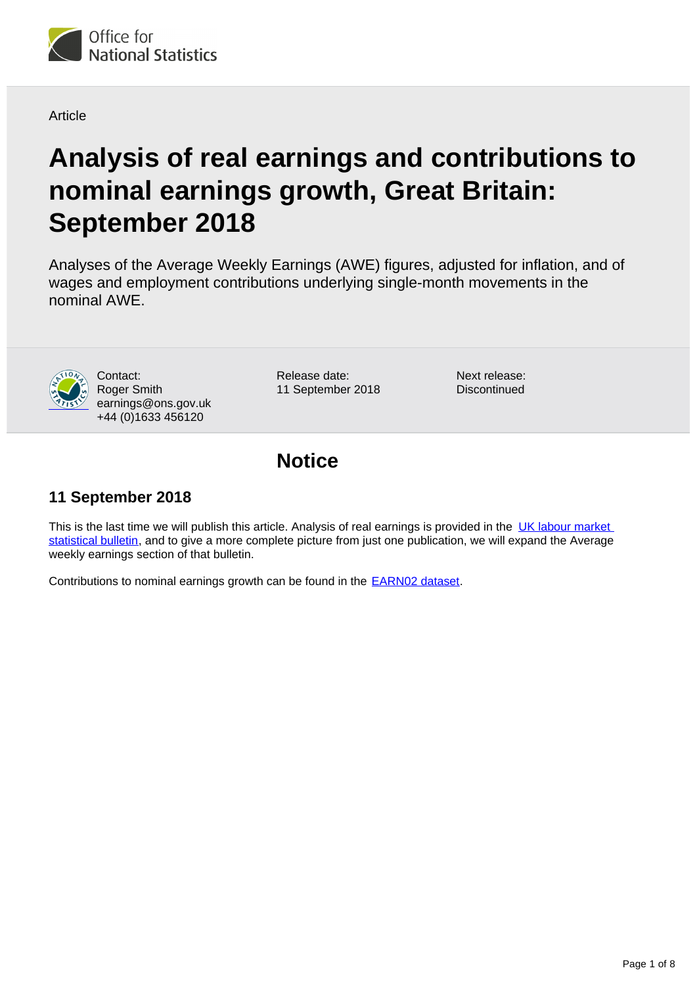

#### Article

# **Analysis of real earnings and contributions to nominal earnings growth, Great Britain: September 2018**

Analyses of the Average Weekly Earnings (AWE) figures, adjusted for inflation, and of wages and employment contributions underlying single-month movements in the nominal AWE.



Contact: Roger Smith earnings@ons.gov.uk +44 (0)1633 456120

Release date: 11 September 2018 Next release: **Discontinued** 

### **Notice**

### **11 September 2018**

This is the last time we will publish this article. Analysis of real earnings is provided in the UK labour market [statistical bulletin](https://www.ons.gov.uk/employmentandlabourmarket/peopleinwork/employmentandemployeetypes/bulletins/uklabourmarket/previousReleases), and to give a more complete picture from just one publication, we will expand the Average weekly earnings section of that bulletin.

Contributions to nominal earnings growth can be found in the **EARN02 dataset**.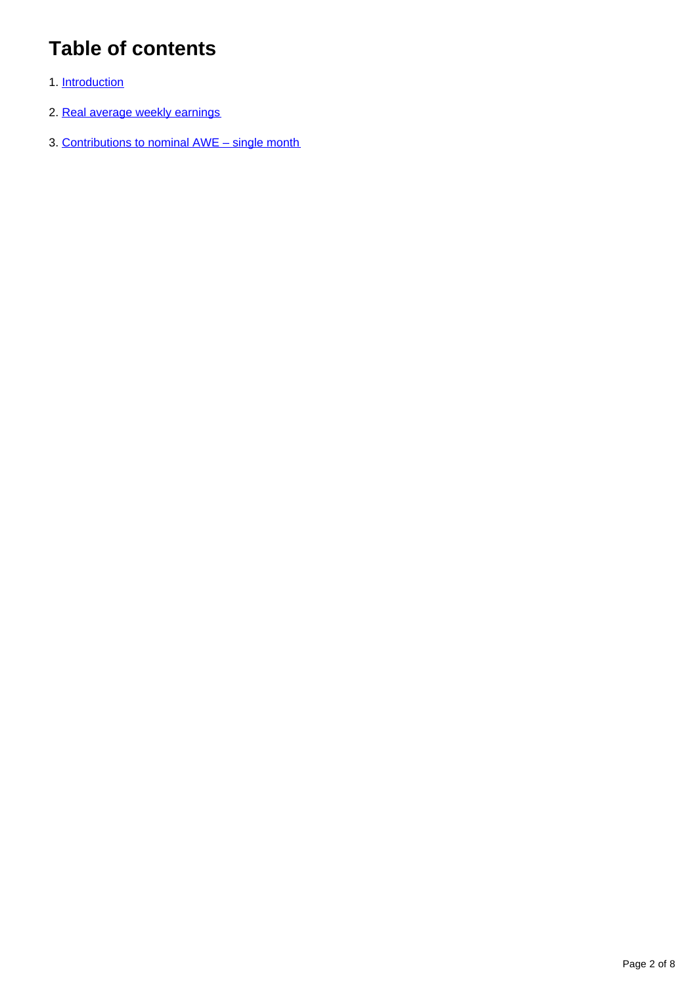## **Table of contents**

- 1. [Introduction](#page-2-0)
- 2. [Real average weekly earnings](#page-2-1)
- 3. [Contributions to nominal AWE single month](#page-5-0)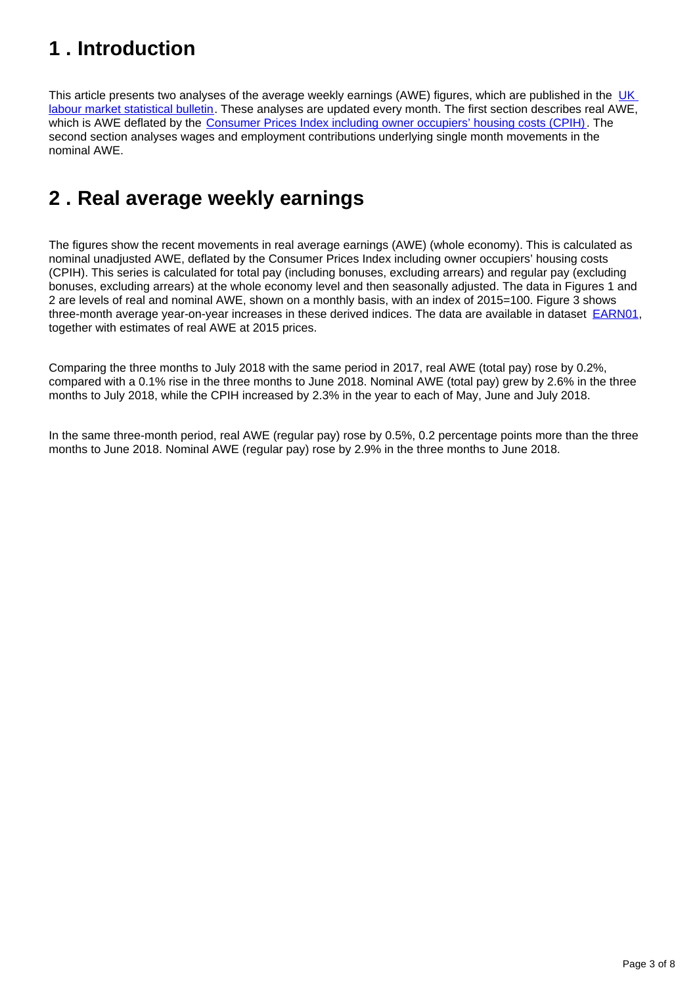### <span id="page-2-0"></span>**1 . Introduction**

This article presents two analyses of the average weekly earnings (AWE) figures, which are published in the UK [labour market statistical bulletin](https://www.ons.gov.uk/employmentandlabourmarket/peopleinwork/employmentandemployeetypes/bulletins/uklabourmarket/previousReleases). These analyses are updated every month. The first section describes real AWE, which is AWE deflated by the [Consumer Prices Index including owner occupiers' housing costs \(CPIH\)](https://www.ons.gov.uk/economy/inflationandpriceindices/bulletins/consumerpriceinflation/Aug2017). The second section analyses wages and employment contributions underlying single month movements in the nominal AWE.

### <span id="page-2-1"></span>**2 . Real average weekly earnings**

The figures show the recent movements in real average earnings (AWE) (whole economy). This is calculated as nominal unadjusted AWE, deflated by the Consumer Prices Index including owner occupiers' housing costs (CPIH). This series is calculated for total pay (including bonuses, excluding arrears) and regular pay (excluding bonuses, excluding arrears) at the whole economy level and then seasonally adjusted. The data in Figures 1 and 2 are levels of real and nominal AWE, shown on a monthly basis, with an index of 2015=100. Figure 3 shows three-month average year-on-year increases in these derived indices. The data are available in dataset **EARN01**, together with estimates of real AWE at 2015 prices.

Comparing the three months to July 2018 with the same period in 2017, real AWE (total pay) rose by 0.2%, compared with a 0.1% rise in the three months to June 2018. Nominal AWE (total pay) grew by 2.6% in the three months to July 2018, while the CPIH increased by 2.3% in the year to each of May, June and July 2018.

In the same three-month period, real AWE (regular pay) rose by 0.5%, 0.2 percentage points more than the three months to June 2018. Nominal AWE (regular pay) rose by 2.9% in the three months to June 2018.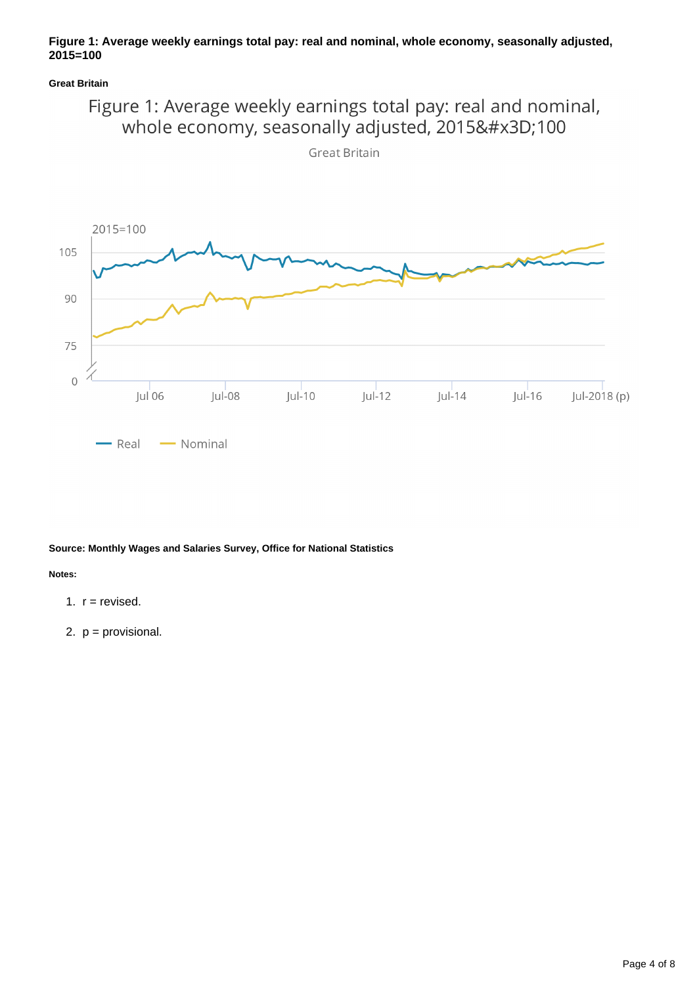#### **Figure 1: Average weekly earnings total pay: real and nominal, whole economy, seasonally adjusted, 2015=100**

**Great Britain**



**Great Britain** 



**Source: Monthly Wages and Salaries Survey, Office for National Statistics**

**Notes:**

- 1.  $r =$  revised.
- 2. p = provisional.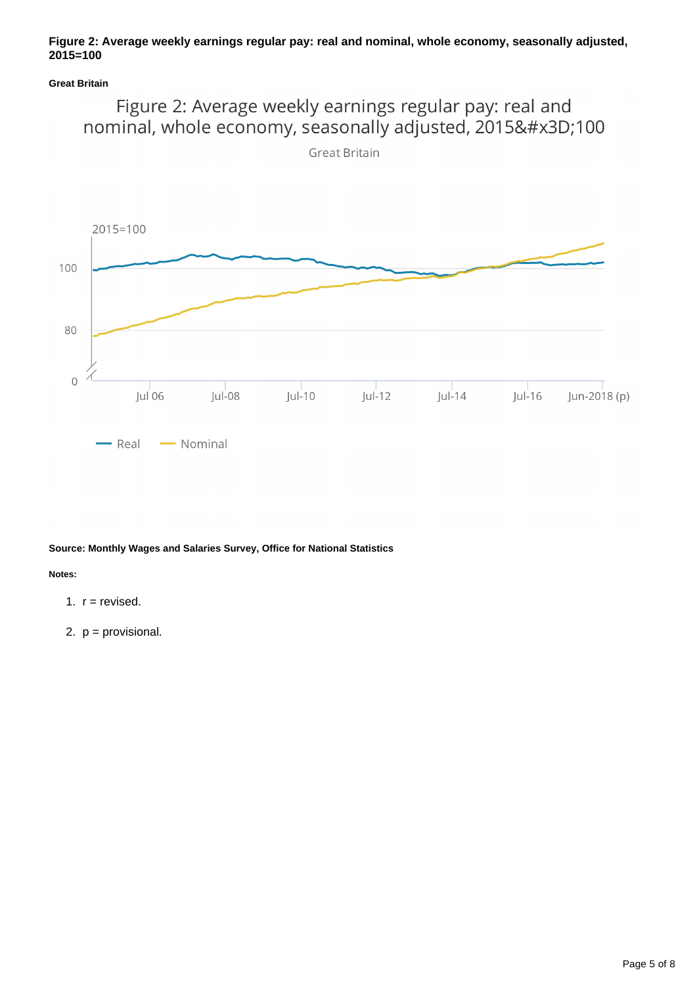#### **Figure 2: Average weekly earnings regular pay: real and nominal, whole economy, seasonally adjusted, 2015=100**

#### **Great Britain**



**Source: Monthly Wages and Salaries Survey, Office for National Statistics**

**Notes:**

- 1.  $r =$  revised.
- 2. p = provisional.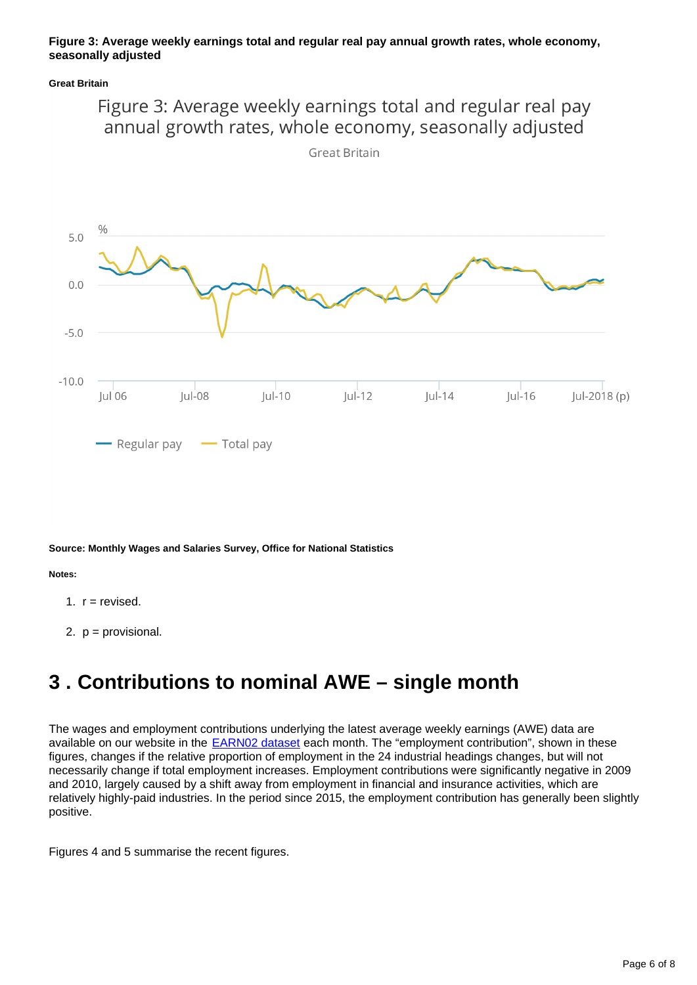#### **Figure 3: Average weekly earnings total and regular real pay annual growth rates, whole economy, seasonally adjusted**

**Great Britain**



**Great Britain** 



**Source: Monthly Wages and Salaries Survey, Office for National Statistics**

**Notes:**

- 1.  $r =$  revised.
- 2. p = provisional.

### <span id="page-5-0"></span>**3 . Contributions to nominal AWE – single month**

The wages and employment contributions underlying the latest average weekly earnings (AWE) data are available on our website in the **EARN02** dataset each month. The "employment contribution", shown in these figures, changes if the relative proportion of employment in the 24 industrial headings changes, but will not necessarily change if total employment increases. Employment contributions were significantly negative in 2009 and 2010, largely caused by a shift away from employment in financial and insurance activities, which are relatively highly-paid industries. In the period since 2015, the employment contribution has generally been slightly positive.

Figures 4 and 5 summarise the recent figures.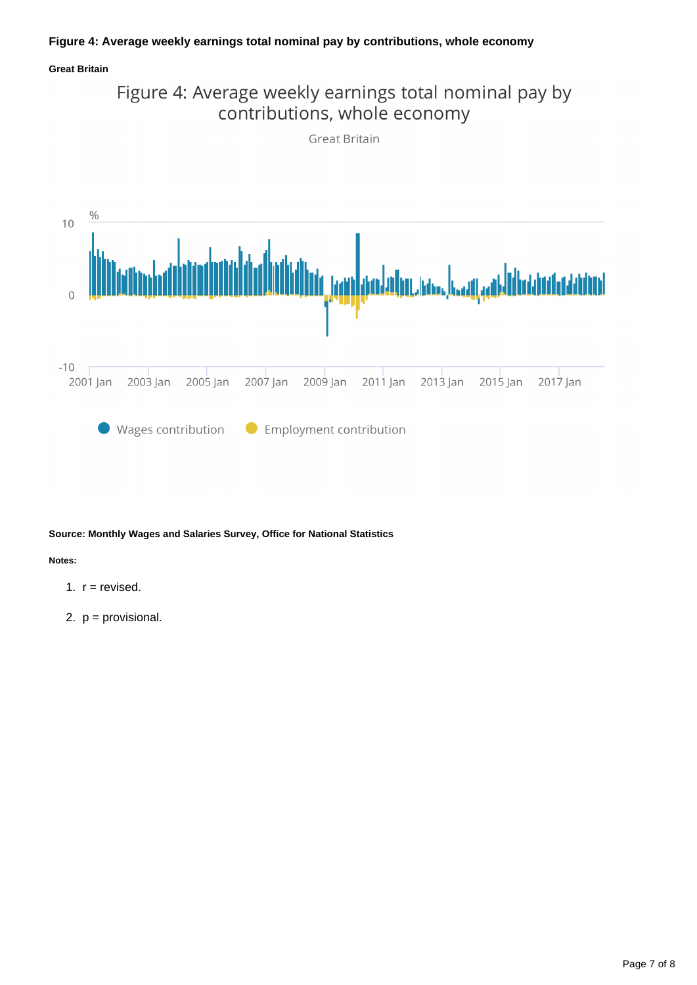#### **Figure 4: Average weekly earnings total nominal pay by contributions, whole economy**

#### **Great Britain**



#### **Source: Monthly Wages and Salaries Survey, Office for National Statistics**

#### **Notes:**

- 1.  $r =$  revised.
- 2. p = provisional.